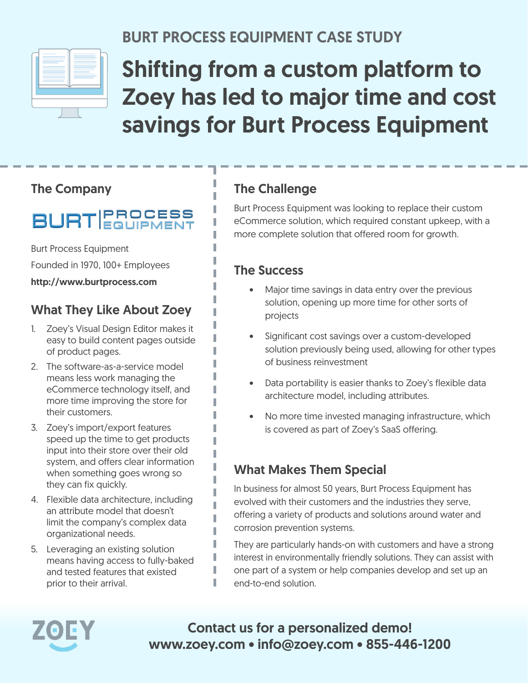

### BURT PROCESS EQUIPMENT CASE STUDY

# Shifting from a custom platform to Zoey has led to major time and cost savings for Burt Process Equipment

#### The Company

## **BURT EQUIPMENT**

Burt Process Equipment

Founded in 1970, 100+ Employees

http://www.burtprocess.com

#### What They Like About Zoey

- 1. Zoey's Visual Design Editor makes it easy to build content pages outside of product pages.
- 2. The software-as-a-service model means less work managing the eCommerce technology itself, and more time improving the store for their customers.
- 3. Zoey's import/export features speed up the time to get products input into their store over their old system, and offers clear information when something goes wrong so they can fix quickly.
- 4. Flexible data architecture, including an attribute model that doesn't limit the company's complex data organizational needs.
- 5. Leveraging an existing solution means having access to fully-baked and tested features that existed prior to their arrival.

#### The Challenge

Burt Process Equipment was looking to replace their custom eCommerce solution, which required constant upkeep, with a more complete solution that offered room for growth.

#### The Success

I

ı

Π ı I

- Major time savings in data entry over the previous solution, opening up more time for other sorts of projects
- Significant cost savings over a custom-developed solution previously being used, allowing for other types of business reinvestment
- Data portability is easier thanks to Zoey's flexible data architecture model, including attributes.
- No more time invested managing infrastructure, which is covered as part of Zoey's SaaS offering.

#### What Makes Them Special

In business for almost 50 years, Burt Process Equipment has evolved with their customers and the industries they serve, offering a variety of products and solutions around water and corrosion prevention systems.

They are particularly hands-on with customers and have a strong interest in environmentally friendly solutions. They can assist with one part of a system or help companies develop and set up an end-to-end solution.



Contact us for a personalized demo! www.zoey.com • info@zoey.com • 855-446-1200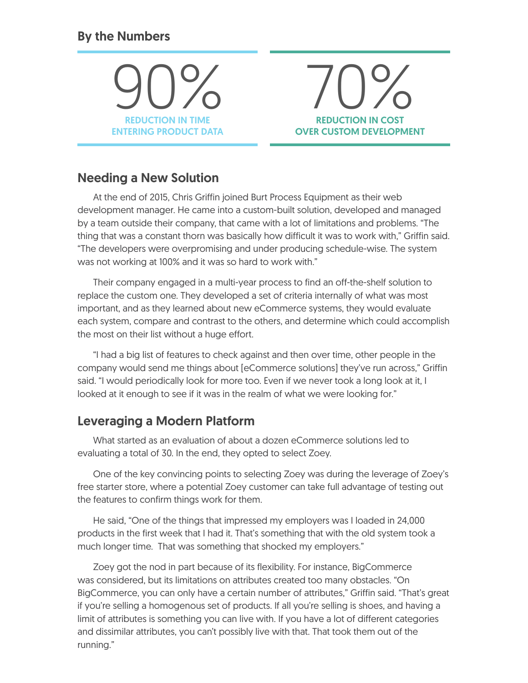#### By the Numbers

90% REDUCTION IN TIME ENTERING PRODUCT DATA



#### Needing a New Solution

At the end of 2015, Chris Griffin joined Burt Process Equipment as their web development manager. He came into a custom-built solution, developed and managed by a team outside their company, that came with a lot of limitations and problems. "The thing that was a constant thorn was basically how difficult it was to work with," Griffin said. "The developers were overpromising and under producing schedule-wise. The system was not working at 100% and it was so hard to work with."

Their company engaged in a multi-year process to find an off-the-shelf solution to replace the custom one. They developed a set of criteria internally of what was most important, and as they learned about new eCommerce systems, they would evaluate each system, compare and contrast to the others, and determine which could accomplish the most on their list without a huge effort.

"I had a big list of features to check against and then over time, other people in the company would send me things about [eCommerce solutions] they've run across," Griffin said. "I would periodically look for more too. Even if we never took a long look at it, I looked at it enough to see if it was in the realm of what we were looking for."

#### Leveraging a Modern Platform

What started as an evaluation of about a dozen eCommerce solutions led to evaluating a total of 30. In the end, they opted to select Zoey.

One of the key convincing points to selecting Zoey was during the leverage of Zoey's free starter store, where a potential Zoey customer can take full advantage of testing out the features to confirm things work for them.

He said, "One of the things that impressed my employers was I loaded in 24,000 products in the first week that I had it. That's something that with the old system took a much longer time. That was something that shocked my employers."

Zoey got the nod in part because of its flexibility. For instance, BigCommerce was considered, but its limitations on attributes created too many obstacles. "On BigCommerce, you can only have a certain number of attributes," Griffin said. "That's great if you're selling a homogenous set of products. If all you're selling is shoes, and having a limit of attributes is something you can live with. If you have a lot of different categories and dissimilar attributes, you can't possibly live with that. That took them out of the running."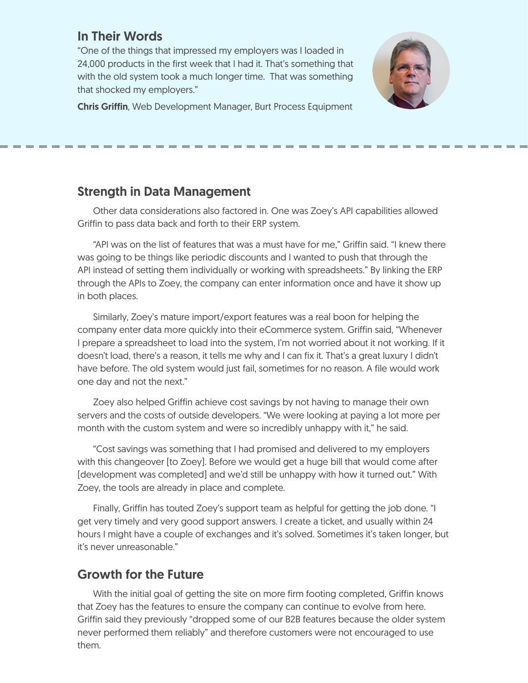#### In Their Words

"One of the things that impressed my employers was I loaded in 24,000 products in the first week that I had it. That's something that with the old system took a much longer time. That was something that shocked my employers."



Chris Griffin, Web Development Manager, Burt Process Equipment

#### Strength in Data Management

Other data considerations also factored in. One was Zoey's API capabilities allowed Griffin to pass data back and forth to their ERP system.

"API was on the list of features that was a must have for me," Griffin said. "I knew there was going to be things like periodic discounts and I wanted to push that through the API instead of setting them individually or working with spreadsheets." By linking the ERP through the APIs to Zoey, the company can enter information once and have it show up in both places.

Similarly, Zoey's mature import/export features was a real boon for helping the company enter data more quickly into their eCommerce system. Griffin said, "Whenever I prepare a spreadsheet to load into the system, I'm not worried about it not working. If it doesn't load, there's a reason, it tells me why and I can fix it. That's a great luxury I didn't have before. The old system would just fail, sometimes for no reason. A file would work one day and not the next."

Zoey also helped Griffin achieve cost savings by not having to manage their own servers and the costs of outside developers. "We were looking at paying a lot more per month with the custom system and were so incredibly unhappy with it," he said.

"Cost savings was something that I had promised and delivered to my employers with this changeover [to Zoey]. Before we would get a huge bill that would come after [development was completed] and we'd still be unhappy with how it turned out." With Zoey, the tools are already in place and complete.

Finally, Griffin has touted Zoey's support team as helpful for getting the job done. "I get very timely and very good support answers. I create a ticket, and usually within 24 hours I might have a couple of exchanges and it's solved. Sometimes it's taken longer, but it's never unreasonable."

#### Growth for the Future

With the initial goal of getting the site on more firm footing completed, Griffin knows that Zoey has the features to ensure the company can continue to evolve from here. Griffin said they previously "dropped some of our B2B features because the older system never performed them reliably" and therefore customers were not encouraged to use them.